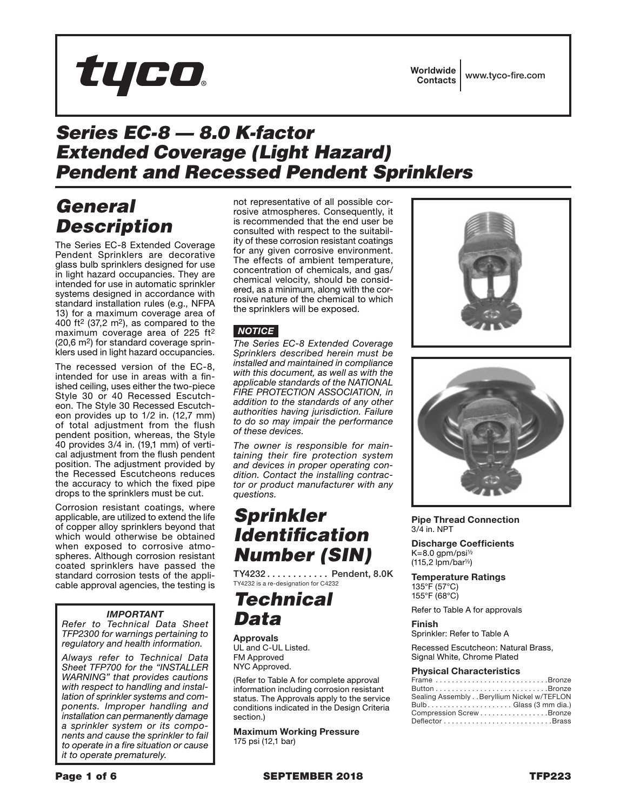

## *Series EC-8 — 8.0 K-factor Extended Coverage (Light Hazard) Pendent and Recessed Pendent Sprinklers*

# *General Description*

The Series EC-8 Extended Coverage Pendent Sprinklers are decorative glass bulb sprinklers designed for use in light hazard occupancies. They are intended for use in automatic sprinkler systems designed in accordance with standard installation rules (e.g., NFPA 13) for a maximum coverage area of 400 ft<sup>2</sup> (37,2 m<sup>2</sup>), as compared to the maximum coverage area of 225 ft2 (20,6 m2) for standard coverage sprinklers used in light hazard occupancies.

The recessed version of the EC-8, intended for use in areas with a finished ceiling, uses either the two-piece Style 30 or 40 Recessed Escutcheon. The Style 30 Recessed Escutcheon provides up to 1/2 in. (12,7 mm) of total adjustment from the flush pendent position, whereas, the Style 40 provides 3/4 in. (19,1 mm) of vertical adjustment from the flush pendent position. The adjustment provided by the Recessed Escutcheons reduces the accuracy to which the fixed pipe drops to the sprinklers must be cut.

Corrosion resistant coatings, where applicable, are utilized to extend the life of copper alloy sprinklers beyond that which would otherwise be obtained when exposed to corrosive atmospheres. Although corrosion resistant coated sprinklers have passed the standard corrosion tests of the applicable approval agencies, the testing is

### *IMPORTANT*

*Refer to Technical Data Sheet TFP2300 for warnings pertaining to regulatory and health information.*

*Always refer to Technical Data Sheet TFP700 for the "INSTALLER WARNING" that provides cautions with respect to handling and installation of sprinkler systems and components. Improper handling and installation can permanently damage a sprinkler system or its components and cause the sprinkler to fail to operate in a fire situation or cause it to operate prematurely.*

not representative of all possible corrosive atmospheres. Consequently, it is recommended that the end user be consulted with respect to the suitability of these corrosion resistant coatings for any given corrosive environment. The effects of ambient temperature, concentration of chemicals, and gas/ chemical velocity, should be considered, as a minimum, along with the corrosive nature of the chemical to which the sprinklers will be exposed.

## *NOTICE*

*The Series EC-8 Extended Coverage Sprinklers described herein must be installed and maintained in compliance with this document, as well as with the applicable standards of the NATIONAL FIRE PROTECTION ASSOCIATION, in addition to the standards of any other authorities having jurisdiction. Failure to do so may impair the performance of these devices.*

*The owner is responsible for maintaining their fire protection system and devices in proper operating condition. Contact the installing contractor or product manufacturer with any questions.*

# *Sprinkler Identification Number (SIN)*

TY4232........... Pendent, 8.0K TY4232 is a re-designation for C4232

## *Technical Data*

Approvals UL and C-UL Listed. FM Approved NYC Approved.

(Refer to Table A for complete approval information including corrosion resistant status. The Approvals apply to the service conditions indicated in the Design Criteria section.)

Maximum Working Pressure 175 psi (12,1 bar)





Pipe Thread Connection 3/4 in. NPT

Discharge Coefficients  $K=8.0$  gpm/psi $\frac{1}{2}$  $(115, 2$  lpm/bar<sup> $1/2$ </sup>)

Temperature Ratings 135°F (57°C) 155°F (68°C)

Refer to Table A for approvals

Finish

Sprinkler: Refer to Table A

Recessed Escutcheon: Natural Brass, Signal White, Chrome Plated

#### Physical Characteristics

| . <b>. .</b>                                                              |
|---------------------------------------------------------------------------|
| Frame Bronze                                                              |
| Button $\ldots \ldots \ldots \ldots \ldots \ldots \ldots \ldots$ . Bronze |
| Sealing Assembly Beryllium Nickel w/TEFLON                                |
|                                                                           |
| Compression Screw Bronze                                                  |
|                                                                           |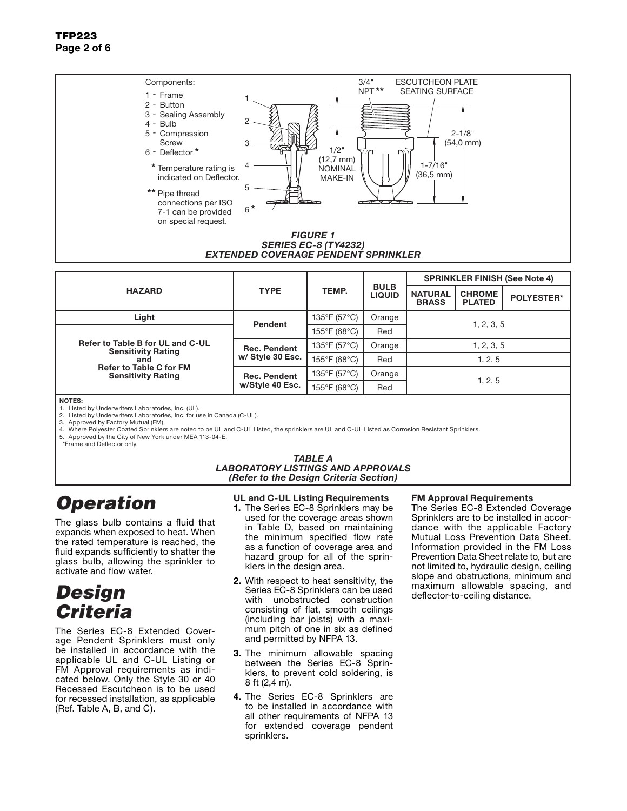### TFP223 Page 2 of 6



| <b>HAZARD</b>                                                                                                                       | <b>TYPE</b>                             | TEMP.                             | <b>BULB</b><br><b>LIQUID</b> | <b>SPRINKLER FINISH (See Note 4)</b> |                                |                   |
|-------------------------------------------------------------------------------------------------------------------------------------|-----------------------------------------|-----------------------------------|------------------------------|--------------------------------------|--------------------------------|-------------------|
|                                                                                                                                     |                                         |                                   |                              | <b>NATURAL</b><br><b>BRASS</b>       | <b>CHROME</b><br><b>PLATED</b> | <b>POLYESTER*</b> |
| Light                                                                                                                               | Pendent                                 | 135°F (57°C)                      | Orange                       |                                      |                                |                   |
| Refer to Table B for UL and C-UL<br><b>Sensitivity Rating</b><br>and<br><b>Refer to Table C for FM</b><br><b>Sensitivity Rating</b> |                                         | $155^{\circ}$ F (68 $^{\circ}$ C) | Red                          | 1, 2, 3, 5                           |                                |                   |
|                                                                                                                                     | <b>Rec. Pendent</b><br>w/ Style 30 Esc. | 135°F (57°C)                      | Orange                       | 1, 2, 3, 5                           |                                |                   |
|                                                                                                                                     |                                         | 155°F (68°C)                      | Red                          | 1, 2, 5                              |                                |                   |
|                                                                                                                                     | <b>Rec. Pendent</b><br>w/Style 40 Esc.  | 135°F (57°C)                      | Orange                       | 1, 2, 5                              |                                |                   |
|                                                                                                                                     |                                         | 155°F (68°C)                      | Red                          |                                      |                                |                   |
| NOTES.                                                                                                                              |                                         |                                   |                              |                                      |                                |                   |

NOTES: 1. Listed by Underwriters Laboratories, Inc. (UL).

2. Listed by Underwriters Laboratories, Inc. for use in Canada (C-UL).<br>3. Approved by Factory Mutual (FM). Approved by Factory Mutual (FM).

4. Where Polyester Coated Sprinklers are noted to be UL and C-UL Listed, the sprinklers are UL and C-UL Listed as Corrosion Resistant Sprinklers.

5. Approved by the City of New York under MEA 113-04-E. \*Frame and Deflector only.

#### *TABLE A LABORATORY LISTINGS AND APPROVALS (Refer to the Design Criteria Section)*

# *Operation*

The glass bulb contains a fluid that expands when exposed to heat. When the rated temperature is reached, the fluid expands sufficiently to shatter the glass bulb, allowing the sprinkler to activate and flow water.

# *Design Criteria*

The Series EC-8 Extended Coverage Pendent Sprinklers must only be installed in accordance with the applicable UL and C-UL Listing or FM Approval requirements as indicated below. Only the Style 30 or 40 Recessed Escutcheon is to be used for recessed installation, as applicable (Ref. Table A, B, and C).

### UL and C-UL Listing Requirements

- 1. The Series EC-8 Sprinklers may be used for the coverage areas shown in Table D, based on maintaining the minimum specified flow rate as a function of coverage area and hazard group for all of the sprinklers in the design area.
- 2. With respect to heat sensitivity, the Series EC-8 Sprinklers can be used with unobstructed construction consisting of flat, smooth ceilings (including bar joists) with a maximum pitch of one in six as defined and permitted by NFPA 13.
- **3.** The minimum allowable spacing between the Series EC-8 Sprinklers, to prevent cold soldering, is 8 ft (2,4 m).
- 4. The Series EC-8 Sprinklers are to be installed in accordance with all other requirements of NFPA 13 for extended coverage pendent sprinklers.

#### FM Approval Requirements

The Series EC-8 Extended Coverage Sprinklers are to be installed in accordance with the applicable Factory Mutual Loss Prevention Data Sheet. Information provided in the FM Loss Prevention Data Sheet relate to, but are not limited to, hydraulic design, ceiling slope and obstructions, minimum and maximum allowable spacing, and deflector-to-ceiling distance.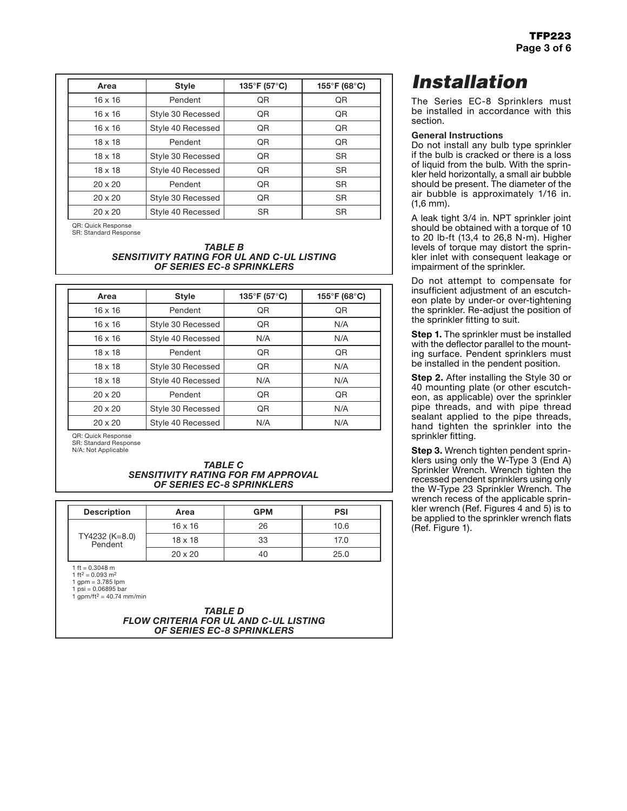| Area           | <b>Style</b>      | 135°F (57°C) | 155°F (68°C) |
|----------------|-------------------|--------------|--------------|
| $16 \times 16$ | Pendent           | QR           | QR           |
| $16 \times 16$ | Style 30 Recessed | QR           | QR           |
| $16 \times 16$ | Style 40 Recessed | QR           | QR           |
| $18 \times 18$ | Pendent           | QR           | QR           |
| $18 \times 18$ | Style 30 Recessed | QR           | <b>SR</b>    |
| $18 \times 18$ | Style 40 Recessed | QR           | <b>SR</b>    |
| $20 \times 20$ | Pendent           | QR           | <b>SR</b>    |
| $20 \times 20$ | Style 30 Recessed | QR           | <b>SR</b>    |
| $20 \times 20$ | Style 40 Recessed | <b>SR</b>    | <b>SR</b>    |

QR: Quick Response SR: Standard Response

#### *TABLE B SENSITIVITY RATING FOR UL AND C-UL LISTING OF SERIES EC-8 SPRINKLERS*

| Area           | <b>Style</b>      | 135°F (57°C) | 155°F (68°C) |
|----------------|-------------------|--------------|--------------|
| $16 \times 16$ | Pendent           | QR           | QR           |
| $16 \times 16$ | Style 30 Recessed | <b>QR</b>    | N/A          |
| $16 \times 16$ | Style 40 Recessed | N/A          | N/A          |
| $18 \times 18$ | Pendent           | QR           | QR           |
| $18 \times 18$ | Style 30 Recessed | QR           | N/A          |
| $18 \times 18$ | Style 40 Recessed | N/A          | N/A          |
| $20 \times 20$ | Pendent           | QR           | <b>QR</b>    |
| $20 \times 20$ | Style 30 Recessed | <b>QR</b>    | N/A          |
| $20 \times 20$ | Style 40 Recessed | N/A          | N/A          |

QR: Quick Response

SR: Standard Response

N/A: Not Applicable

#### *TABLE C SENSITIVITY RATING FOR FM APPROVAL OF SERIES EC-8 SPRINKLERS*

| <b>Description</b>                                                                                                                                    | Area           | <b>GPM</b> | <b>PSI</b> |
|-------------------------------------------------------------------------------------------------------------------------------------------------------|----------------|------------|------------|
| TY4232 (K=8.0)<br>Pendent                                                                                                                             | $16 \times 16$ | 26         | 10.6       |
|                                                                                                                                                       | $18 \times 18$ | 33         | 17.0       |
|                                                                                                                                                       | $20 \times 20$ | 40         | 25.0       |
| 1 ft = $0.3048$ m<br>1 ft <sup>2</sup> = 0.093 m <sup>2</sup><br>1 gpm = $3.785$ lpm<br>1 psi = $0.06895$ bar<br>1 qpm/ft <sup>2</sup> = 40.74 mm/min |                |            |            |

*TABLE D FLOW CRITERIA FOR UL AND C-UL LISTING OF SERIES EC-8 SPRINKLERS*

# *Installation*

The Series EC-8 Sprinklers must be installed in accordance with this section.

#### General Instructions

Do not install any bulb type sprinkler if the bulb is cracked or there is a loss of liquid from the bulb. With the sprinkler held horizontally, a small air bubble should be present. The diameter of the air bubble is approximately 1/16 in. (1,6 mm).

A leak tight 3/4 in. NPT sprinkler joint should be obtained with a torque of 10 to 20 lb-ft (13,4 to 26,8 N·m). Higher levels of torque may distort the sprinkler inlet with consequent leakage or impairment of the sprinkler.

Do not attempt to compensate for insufficient adjustment of an escutcheon plate by under-or over-tightening the sprinkler. Re-adjust the position of the sprinkler fitting to suit.

**Step 1.** The sprinkler must be installed with the deflector parallel to the mounting surface. Pendent sprinklers must be installed in the pendent position.

**Step 2.** After installing the Style 30 or 40 mounting plate (or other escutcheon, as applicable) over the sprinkler pipe threads, and with pipe thread sealant applied to the pipe threads, hand tighten the sprinkler into the sprinkler fitting.

**Step 3.** Wrench tighten pendent sprinklers using only the W-Type 3 (End A) Sprinkler Wrench. Wrench tighten the recessed pendent sprinklers using only the W-Type 23 Sprinkler Wrench. The wrench recess of the applicable sprinkler wrench (Ref. Figures 4 and 5) is to be applied to the sprinkler wrench flats (Ref. Figure 1).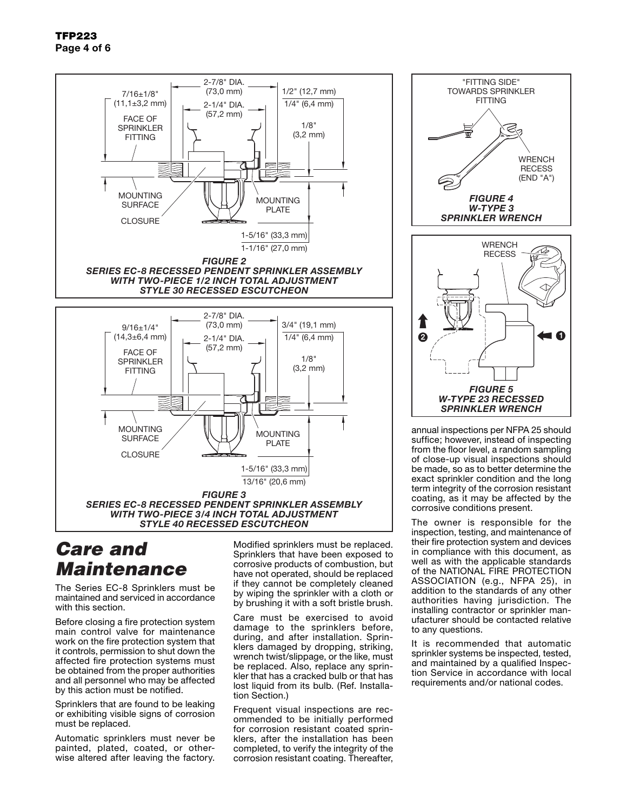

## *Care and Maintenance*

The Series EC-8 Sprinklers must be maintained and serviced in accordance with this section

Before closing a fire protection system main control valve for maintenance work on the fire protection system that it controls, permission to shut down the affected fire protection systems must be obtained from the proper authorities and all personnel who may be affected by this action must be notified.

Sprinklers that are found to be leaking or exhibiting visible signs of corrosion must be replaced.

Automatic sprinklers must never be painted, plated, coated, or otherwise altered after leaving the factory. Modified sprinklers must be replaced. Sprinklers that have been exposed to corrosive products of combustion, but have not operated, should be replaced if they cannot be completely cleaned by wiping the sprinkler with a cloth or by brushing it with a soft bristle brush.

Care must be exercised to avoid damage to the sprinklers before, during, and after installation. Sprinklers damaged by dropping, striking, wrench twist/slippage, or the like, must be replaced. Also, replace any sprinkler that has a cracked bulb or that has lost liquid from its bulb. (Ref. Installation Section.)

Frequent visual inspections are recommended to be initially performed for corrosion resistant coated sprinklers, after the installation has been completed, to verify the integrity of the corrosion resistant coating. Thereafter,



annual inspections per NFPA 25 should suffice; however, instead of inspecting from the floor level, a random sampling of close-up visual inspections should be made, so as to better determine the exact sprinkler condition and the long term integrity of the corrosion resistant coating, as it may be affected by the corrosive conditions present.

The owner is responsible for the inspection, testing, and maintenance of their fire protection system and devices in compliance with this document, as well as with the applicable standards of the NATIONAL FIRE PROTECTION ASSOCIATION (e.g., NFPA 25), in addition to the standards of any other authorities having jurisdiction. The installing contractor or sprinkler manufacturer should be contacted relative to any questions.

It is recommended that automatic sprinkler systems be inspected, tested, and maintained by a qualified Inspection Service in accordance with local requirements and/or national codes.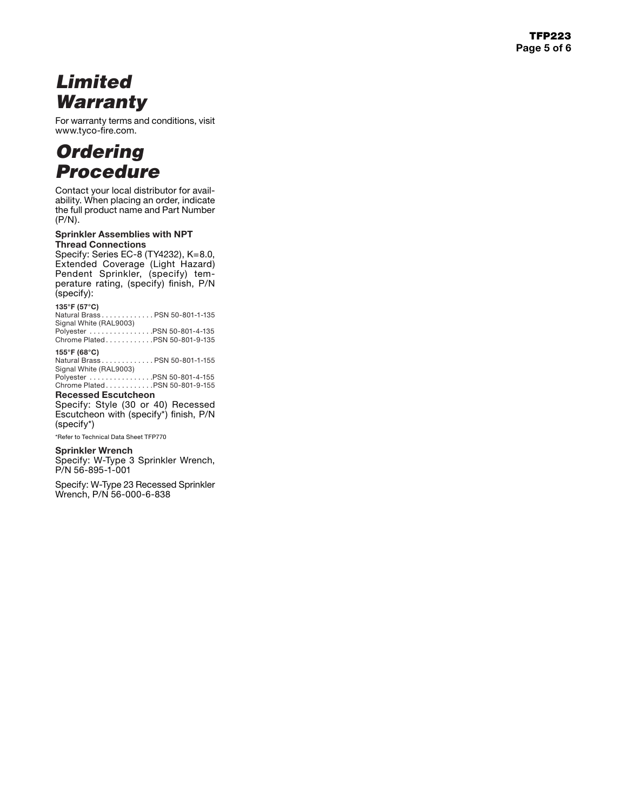# *Limited Warranty*

For warranty terms and conditions, visit www.tyco-fire.com.

## *Ordering Procedure*

Contact your local distributor for avail ability. When placing an order, indicate the full product name and Part Number (P/N).

#### Sprinkler Assemblies with NPT Thread Connections

Specify: Series EC-8 (TY4232), K=8.0, Extended Coverage (Light Hazard) Pendent Sprinkler, (specify) tem perature rating, (specify) finish, P/N (specify):

### **135°F (57°C)**

Natural Brass . . . . . . . . . . . . PSN 50-801-1-135 Signal White (RAL9003)

Polyester . . . . . . . . . . . . . . . . PSN 50-801-4-135 Chrome Plated . . . . . . . . . . . . PSN 50-801-9-135

### **155°F (68°C)**

Natural Brass . . . . . . . . . . . . PSN 50-801-1-155 Signal White (RAL9003)

Polyester . . . . . . . . . . . . . . . . PSN 50-801-4-155 Chrome Plated . . . . . . . . . . . . PSN 50-801-9-155

### Recessed Escutcheon

Specify: Style (30 or 40) Recessed Escutcheon with (specify\*) finish, P/N (specify\*)

\*Refer to Technical Data Sheet TFP770

#### Sprinkler Wrench

Specify: W-Type 3 Sprinkler Wrench, P/N 56-895-1-001

Specify: W-Type 23 Recessed Sprinkler Wrench, P/N 56-000-6-838